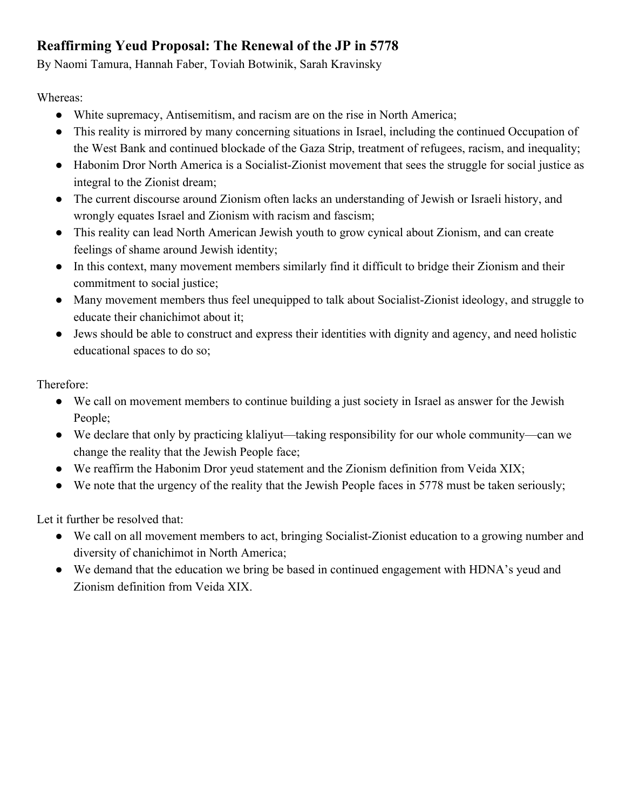# **Reaffirming Yeud Proposal: The Renewal of the JP in 5778**

By Naomi Tamura, Hannah Faber, Toviah Botwinik, Sarah Kravinsky

Whereas:

- White supremacy, Antisemitism, and racism are on the rise in North America;
- This reality is mirrored by many concerning situations in Israel, including the continued Occupation of the West Bank and continued blockade of the Gaza Strip, treatment of refugees, racism, and inequality;
- Habonim Dror North America is a Socialist-Zionist movement that sees the struggle for social justice as integral to the Zionist dream;
- The current discourse around Zionism often lacks an understanding of Jewish or Israeli history, and wrongly equates Israel and Zionism with racism and fascism;
- This reality can lead North American Jewish youth to grow cynical about Zionism, and can create feelings of shame around Jewish identity;
- In this context, many movement members similarly find it difficult to bridge their Zionism and their commitment to social justice;
- Many movement members thus feel unequipped to talk about Socialist-Zionist ideology, and struggle to educate their chanichimot about it;
- Jews should be able to construct and express their identities with dignity and agency, and need holistic educational spaces to do so;

Therefore:

- We call on movement members to continue building a just society in Israel as answer for the Jewish People;
- We declare that only by practicing klaliyut—taking responsibility for our whole community—can we change the reality that the Jewish People face;
- We reaffirm the Habonim Dror yeud statement and the Zionism definition from Veida XIX;
- We note that the urgency of the reality that the Jewish People faces in 5778 must be taken seriously;

Let it further be resolved that:

- We call on all movement members to act, bringing Socialist-Zionist education to a growing number and diversity of chanichimot in North America;
- We demand that the education we bring be based in continued engagement with HDNA's yeud and Zionism definition from Veida XIX.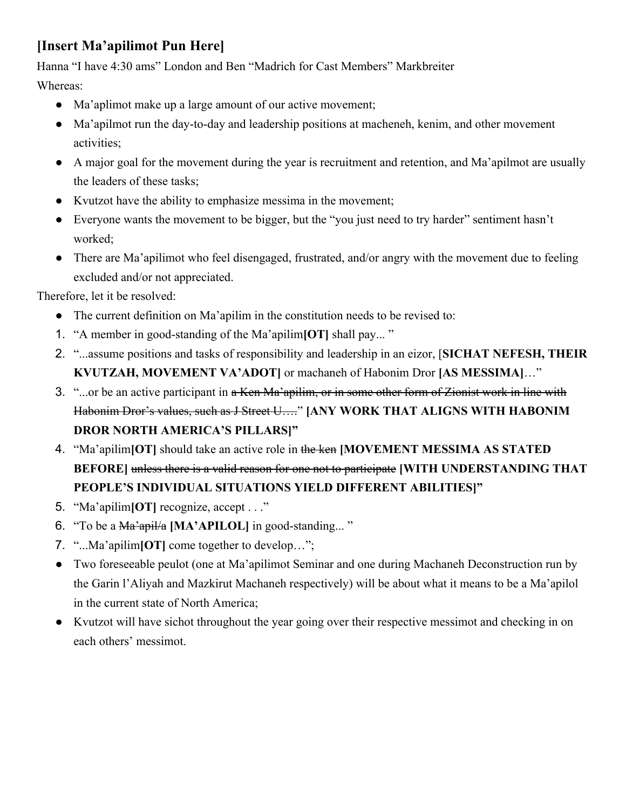# **[Insert Ma'apilimot Pun Here]**

Hanna "I have 4:30 ams" London and Ben "Madrich for Cast Members" Markbreiter

Whereas:

- Ma'aplimot make up a large amount of our active movement;
- Ma'apilmot run the day-to-day and leadership positions at macheneh, kenim, and other movement activities;
- A major goal for the movement during the year is recruitment and retention, and Ma'apilmot are usually the leaders of these tasks;
- Kvutzot have the ability to emphasize messima in the movement;
- Everyone wants the movement to be bigger, but the "you just need to try harder" sentiment hasn't worked;
- There are Ma'apilimot who feel disengaged, frustrated, and/or angry with the movement due to feeling excluded and/or not appreciated.

Therefore, let it be resolved:

- The current definition on Ma'apilim in the constitution needs to be revised to:
- 1. "A member in good-standing of the Ma'apilim**[OT]** shall pay... "
- 2. "...assume positions and tasks of responsibility and leadership in an eizor, [**SICHAT NEFESH, THEIR KVUTZAH, MOVEMENT VA'ADOT]** or machaneh of Habonim Dror **[AS MESSIMA]**…"
- 3. "...or be an active participant in a Ken Ma'apilim, or in some other form of Zionist work in line with Habonim Dror's values, such as J Street U…." **[ANY WORK THAT ALIGNS WITH HABONIM DROR NORTH AMERICA'S PILLARS]"**
- 4. "Ma'apilim**[OT]** should take an active role in the ken **[MOVEMENT MESSIMA AS STATED BEFORE]** unless there is a valid reason for one not to participate **[WITH UNDERSTANDING THAT PEOPLE'S INDIVIDUAL SITUATIONS YIELD DIFFERENT ABILITIES]"**
- 5. "Ma'apilim**[OT]** recognize, accept . . ."
- 6. "To be a Ma'apil/a **[MA'APILOL]** in good-standing... "
- 7. "...Ma'apilim**[OT]** come together to develop…";
- Two foreseeable peulot (one at Ma'apilimot Seminar and one during Machaneh Deconstruction run by the Garin l'Aliyah and Mazkirut Machaneh respectively) will be about what it means to be a Ma'apilol in the current state of North America;
- Kvutzot will have sichot throughout the year going over their respective messimot and checking in on each others' messimot.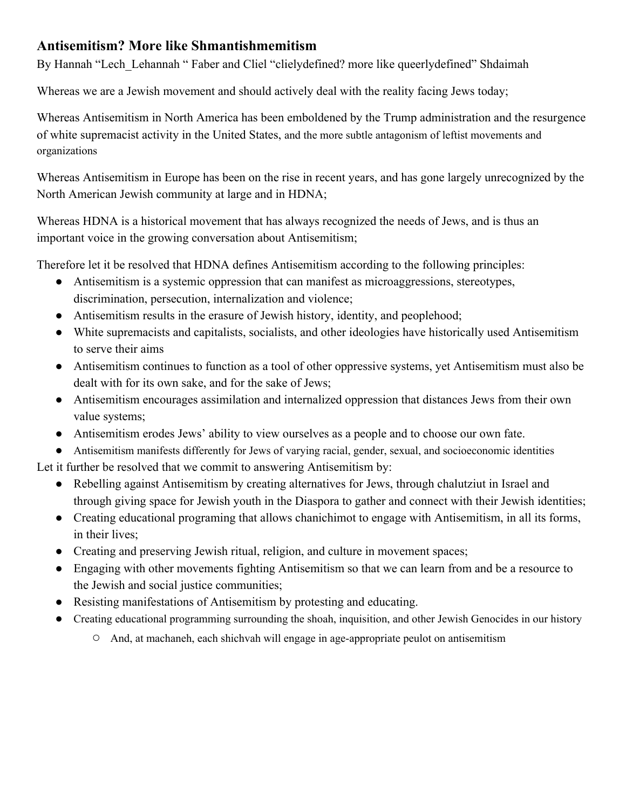#### **Antisemitism? More like Shmantishmemitism**

By Hannah "Lech Lehannah " Faber and Cliel "clielydefined? more like queerlydefined" Shdaimah

Whereas we are a Jewish movement and should actively deal with the reality facing Jews today;

Whereas Antisemitism in North America has been emboldened by the Trump administration and the resurgence of white supremacist activity in the United States, and the more subtle antagonism of leftist movements and organizations

Whereas Antisemitism in Europe has been on the rise in recent years, and has gone largely unrecognized by the North American Jewish community at large and in HDNA;

Whereas HDNA is a historical movement that has always recognized the needs of Jews, and is thus an important voice in the growing conversation about Antisemitism;

Therefore let it be resolved that HDNA defines Antisemitism according to the following principles:

- Antisemitism is a systemic oppression that can manifest as microaggressions, stereotypes, discrimination, persecution, internalization and violence;
- Antisemitism results in the erasure of Jewish history, identity, and peoplehood;
- White supremacists and capitalists, socialists, and other ideologies have historically used Antisemitism to serve their aims
- Antisemitism continues to function as a tool of other oppressive systems, yet Antisemitism must also be dealt with for its own sake, and for the sake of Jews;
- Antisemitism encourages assimilation and internalized oppression that distances Jews from their own value systems;
- Antisemitism erodes Jews' ability to view ourselves as a people and to choose our own fate.
- Antisemitism manifests differently for Jews of varying racial, gender, sexual, and socioeconomic identities

Let it further be resolved that we commit to answering Antisemitism by:

- Rebelling against Antisemitism by creating alternatives for Jews, through chalutziut in Israel and through giving space for Jewish youth in the Diaspora to gather and connect with their Jewish identities;
- Creating educational programing that allows chanichimot to engage with Antisemitism, in all its forms, in their lives;
- Creating and preserving Jewish ritual, religion, and culture in movement spaces;
- Engaging with other movements fighting Antisemitism so that we can learn from and be a resource to the Jewish and social justice communities;
- Resisting manifestations of Antisemitism by protesting and educating.
- Creating educational programming surrounding the shoah, inquisition, and other Jewish Genocides in our history
	- **○** And, at machaneh, each shichvah will engage in age-appropriate peulot on antisemitism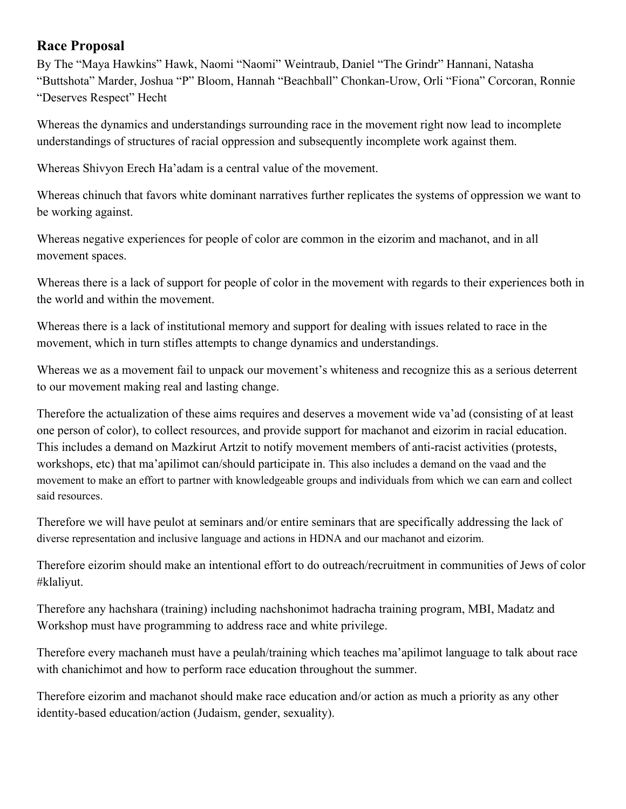#### **Race Proposal**

By The "Maya Hawkins" Hawk, Naomi "Naomi" Weintraub, Daniel "The Grindr" Hannani, Natasha "Buttshota" Marder, Joshua "P" Bloom, Hannah "Beachball" Chonkan-Urow, Orli "Fiona" Corcoran, Ronnie "Deserves Respect" Hecht

Whereas the dynamics and understandings surrounding race in the movement right now lead to incomplete understandings of structures of racial oppression and subsequently incomplete work against them.

Whereas Shivyon Erech Ha'adam is a central value of the movement.

Whereas chinuch that favors white dominant narratives further replicates the systems of oppression we want to be working against.

Whereas negative experiences for people of color are common in the eizorim and machanot, and in all movement spaces.

Whereas there is a lack of support for people of color in the movement with regards to their experiences both in the world and within the movement.

Whereas there is a lack of institutional memory and support for dealing with issues related to race in the movement, which in turn stifles attempts to change dynamics and understandings.

Whereas we as a movement fail to unpack our movement's whiteness and recognize this as a serious deterrent to our movement making real and lasting change.

Therefore the actualization of these aims requires and deserves a movement wide va'ad (consisting of at least one person of color), to collect resources, and provide support for machanot and eizorim in racial education. This includes a demand on Mazkirut Artzit to notify movement members of anti-racist activities (protests, workshops, etc) that ma'apilimot can/should participate in. This also includes a demand on the vaad and the movement to make an effort to partner with knowledgeable groups and individuals from which we can earn and collect said resources.

Therefore we will have peulot at seminars and/or entire seminars that are specifically addressing the lack of diverse representation and inclusive language and actions in HDNA and our machanot and eizorim.

Therefore eizorim should make an intentional effort to do outreach/recruitment in communities of Jews of color #klaliyut.

Therefore any hachshara (training) including nachshonimot hadracha training program, MBI, Madatz and Workshop must have programming to address race and white privilege.

Therefore every machaneh must have a peulah/training which teaches ma'apilimot language to talk about race with chanichimot and how to perform race education throughout the summer.

Therefore eizorim and machanot should make race education and/or action as much a priority as any other identity-based education/action (Judaism, gender, sexuality).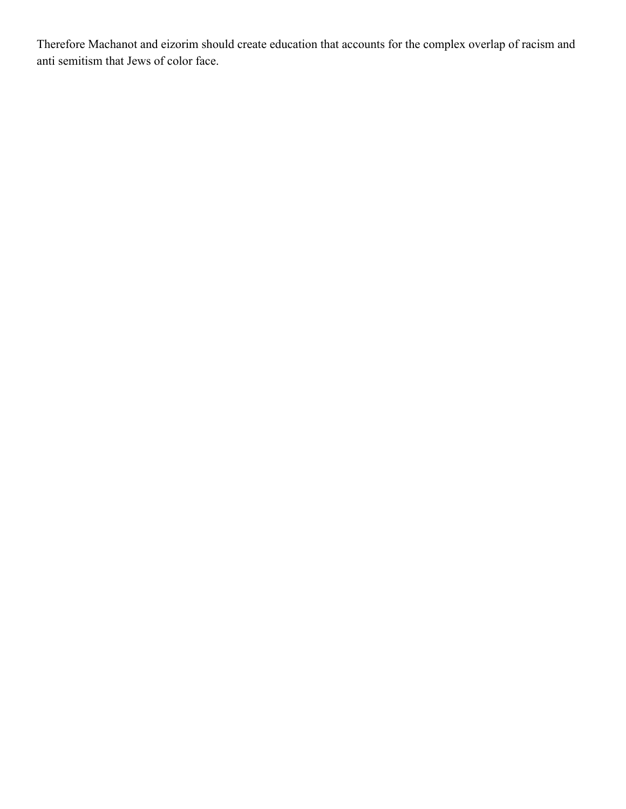Therefore Machanot and eizorim should create education that accounts for the complex overlap of racism and anti semitism that Jews of color face.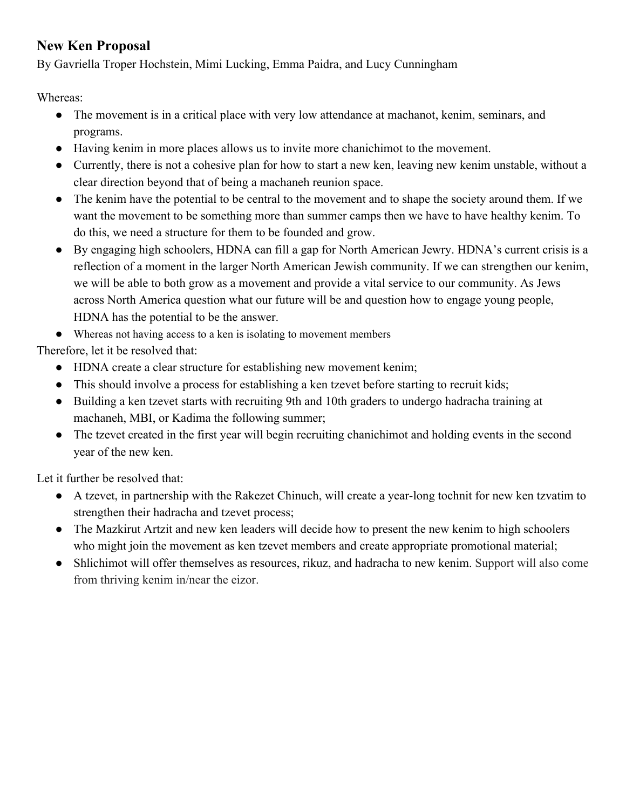#### **New Ken Proposal**

By Gavriella Troper Hochstein, Mimi Lucking, Emma Paidra, and Lucy Cunningham

Whereas:

- The movement is in a critical place with very low attendance at machanot, kenim, seminars, and programs.
- Having kenim in more places allows us to invite more chanichimot to the movement.
- Currently, there is not a cohesive plan for how to start a new ken, leaving new kenim unstable, without a clear direction beyond that of being a machaneh reunion space.
- The kenim have the potential to be central to the movement and to shape the society around them. If we want the movement to be something more than summer camps then we have to have healthy kenim. To do this, we need a structure for them to be founded and grow.
- By engaging high schoolers, HDNA can fill a gap for North American Jewry. HDNA's current crisis is a reflection of a moment in the larger North American Jewish community. If we can strengthen our kenim, we will be able to both grow as a movement and provide a vital service to our community. As Jews across North America question what our future will be and question how to engage young people, HDNA has the potential to be the answer.
- Whereas not having access to a ken is isolating to movement members

Therefore, let it be resolved that:

- HDNA create a clear structure for establishing new movement kenim;
- This should involve a process for establishing a ken tzevet before starting to recruit kids;
- Building a ken tzevet starts with recruiting 9th and 10th graders to undergo hadracha training at machaneh, MBI, or Kadima the following summer;
- The tzevet created in the first year will begin recruiting chanichimot and holding events in the second year of the new ken.

Let it further be resolved that:

- A tzevet, in partnership with the Rakezet Chinuch, will create a year-long tochnit for new ken tzvatim to strengthen their hadracha and tzevet process;
- The Mazkirut Artzit and new ken leaders will decide how to present the new kenim to high schoolers who might join the movement as ken tzevet members and create appropriate promotional material;
- Shlichimot will offer themselves as resources, rikuz, and hadracha to new kenim. Support will also come from thriving kenim in/near the eizor.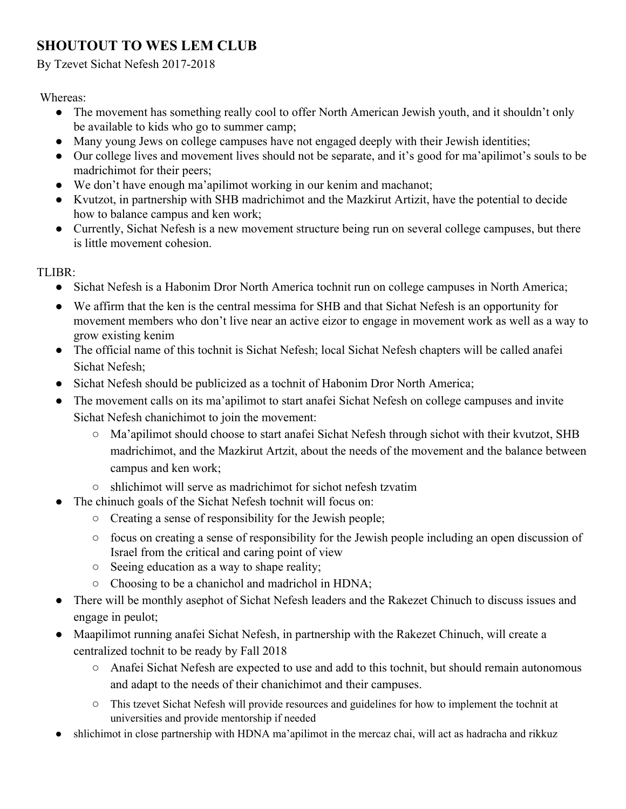# **SHOUTOUT TO WES LEM CLUB**

By Tzevet Sichat Nefesh 2017-2018

Whereas:

- The movement has something really cool to offer North American Jewish youth, and it shouldn't only be available to kids who go to summer camp;
- Many young Jews on college campuses have not engaged deeply with their Jewish identities;
- Our college lives and movement lives should not be separate, and it's good for ma'apilimot's souls to be madrichimot for their peers;
- We don't have enough ma'apilimot working in our kenim and machanot;
- Kvutzot, in partnership with SHB madrichimot and the Mazkirut Artizit, have the potential to decide how to balance campus and ken work;
- Currently, Sichat Nefesh is a new movement structure being run on several college campuses, but there is little movement cohesion.

TLIBR:

- Sichat Nefesh is a Habonim Dror North America tochnit run on college campuses in North America;
- We affirm that the ken is the central messima for SHB and that Sichat Nefesh is an opportunity for movement members who don't live near an active eizor to engage in movement work as well as a way to grow existing kenim
- The official name of this tochnit is Sichat Nefesh; local Sichat Nefesh chapters will be called anafei Sichat Nefesh;
- Sichat Nefesh should be publicized as a tochnit of Habonim Dror North America;
- The movement calls on its ma'apilimot to start anafei Sichat Nefesh on college campuses and invite Sichat Nefesh chanichimot to join the movement:
	- Ma'apilimot should choose to start anafei Sichat Nefesh through sichot with their kvutzot, SHB madrichimot, and the Mazkirut Artzit, about the needs of the movement and the balance between campus and ken work;
	- shlichimot will serve as madrichimot for sichot nefesh tzvatim
	- The chinuch goals of the Sichat Nefesh tochnit will focus on:
		- Creating a sense of responsibility for the Jewish people;
		- focus on creating a sense of responsibility for the Jewish people including an open discussion of Israel from the critical and caring point of view
		- Seeing education as a way to shape reality;
		- Choosing to be a chanichol and madrichol in HDNA;
- There will be monthly asephot of Sichat Nefesh leaders and the Rakezet Chinuch to discuss issues and engage in peulot;
- Maapilimot running anafei Sichat Nefesh, in partnership with the Rakezet Chinuch, will create a centralized tochnit to be ready by Fall 2018
	- Anafei Sichat Nefesh are expected to use and add to this tochnit, but should remain autonomous and adapt to the needs of their chanichimot and their campuses.
	- This tzevet Sichat Nefesh will provide resources and guidelines for how to implement the tochnit at universities and provide mentorship if needed
- shlichimot in close partnership with HDNA ma'apilimot in the mercaz chai, will act as hadracha and rikkuz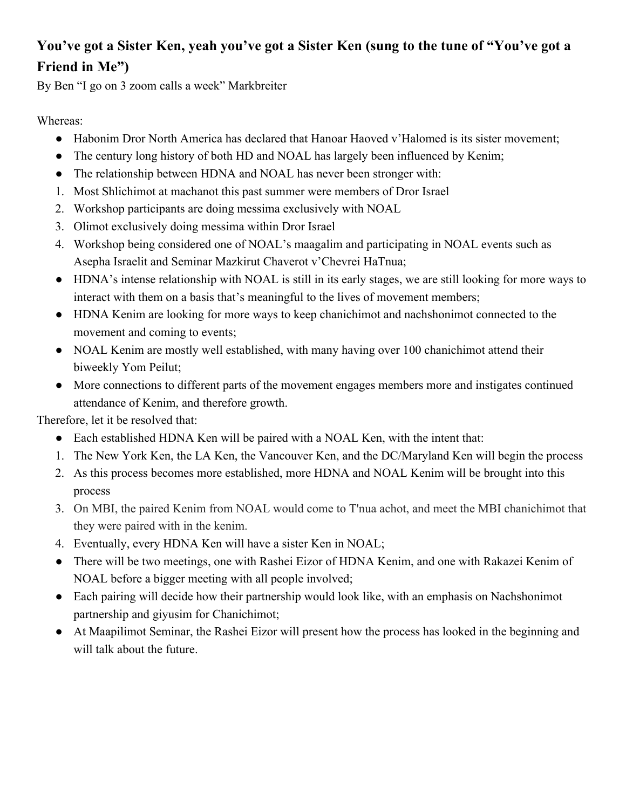# **You've got a Sister Ken, yeah you've got a Sister Ken (sung to the tune of "You've got a Friend in Me")**

By Ben "I go on 3 zoom calls a week" Markbreiter

Whereas:

- Habonim Dror North America has declared that Hanoar Haoved v'Halomed is its sister movement;
- The century long history of both HD and NOAL has largely been influenced by Kenim;
- The relationship between HDNA and NOAL has never been stronger with:
- 1. Most Shlichimot at machanot this past summer were members of Dror Israel
- 2. Workshop participants are doing messima exclusively with NOAL
- 3. Olimot exclusively doing messima within Dror Israel
- 4. Workshop being considered one of NOAL's maagalim and participating in NOAL events such as Asepha Israelit and Seminar Mazkirut Chaverot v'Chevrei HaTnua;
- HDNA's intense relationship with NOAL is still in its early stages, we are still looking for more ways to interact with them on a basis that's meaningful to the lives of movement members;
- HDNA Kenim are looking for more ways to keep chanichimot and nachshonimot connected to the movement and coming to events;
- NOAL Kenim are mostly well established, with many having over 100 chanichimot attend their biweekly Yom Peilut;
- More connections to different parts of the movement engages members more and instigates continued attendance of Kenim, and therefore growth.

Therefore, let it be resolved that:

- Each established HDNA Ken will be paired with a NOAL Ken, with the intent that:
- 1. The New York Ken, the LA Ken, the Vancouver Ken, and the DC/Maryland Ken will begin the process
- 2. As this process becomes more established, more HDNA and NOAL Kenim will be brought into this process
- 3. On MBI, the paired Kenim from NOAL would come to T'nua achot, and meet the MBI chanichimot that they were paired with in the kenim.
- 4. Eventually, every HDNA Ken will have a sister Ken in NOAL;
- There will be two meetings, one with Rashei Eizor of HDNA Kenim, and one with Rakazei Kenim of NOAL before a bigger meeting with all people involved;
- Each pairing will decide how their partnership would look like, with an emphasis on Nachshonimot partnership and giyusim for Chanichimot;
- At Maapilimot Seminar, the Rashei Eizor will present how the process has looked in the beginning and will talk about the future.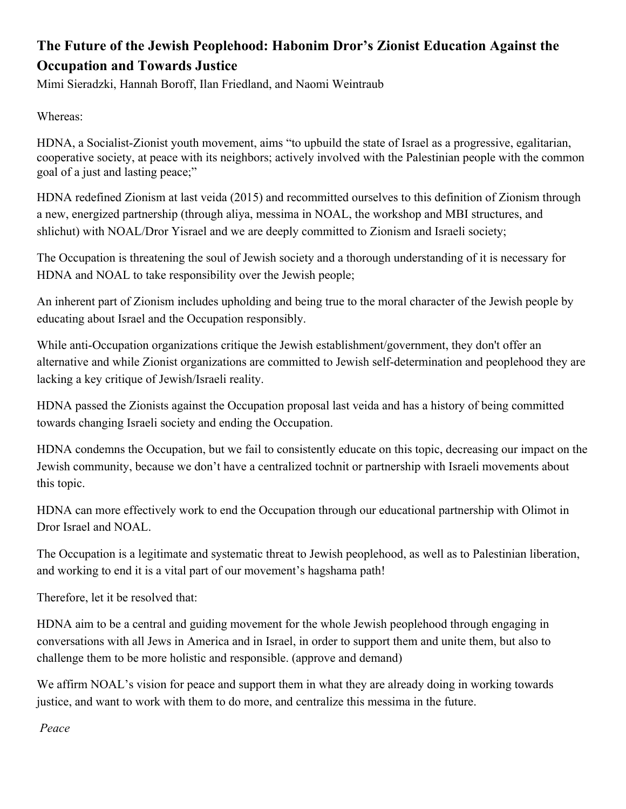# **The Future of the Jewish Peoplehood: Habonim Dror's Zionist Education Against the Occupation and Towards Justice**

Mimi Sieradzki, Hannah Boroff, Ilan Friedland, and Naomi Weintraub

Whereas:

HDNA, a Socialist-Zionist youth movement, aims "to upbuild the state of Israel as a progressive, egalitarian, cooperative society, at peace with its neighbors; actively involved with the Palestinian people with the common goal of a just and lasting peace;"

HDNA redefined Zionism at last veida (2015) and recommitted ourselves to this definition of Zionism through a new, energized partnership (through aliya, messima in NOAL, the workshop and MBI structures, and shlichut) with NOAL/Dror Yisrael and we are deeply committed to Zionism and Israeli society;

The Occupation is threatening the soul of Jewish society and a thorough understanding of it is necessary for HDNA and NOAL to take responsibility over the Jewish people;

An inherent part of Zionism includes upholding and being true to the moral character of the Jewish people by educating about Israel and the Occupation responsibly.

While anti-Occupation organizations critique the Jewish establishment/government, they don't offer an alternative and while Zionist organizations are committed to Jewish self-determination and peoplehood they are lacking a key critique of Jewish/Israeli reality.

HDNA passed the Zionists against the Occupation proposal last veida and has a history of being committed towards changing Israeli society and ending the Occupation.

HDNA condemns the Occupation, but we fail to consistently educate on this topic, decreasing our impact on the Jewish community, because we don't have a centralized tochnit or partnership with Israeli movements about this topic.

HDNA can more effectively work to end the Occupation through our educational partnership with Olimot in Dror Israel and NOAL.

The Occupation is a legitimate and systematic threat to Jewish peoplehood, as well as to Palestinian liberation, and working to end it is a vital part of our movement's hagshama path!

Therefore, let it be resolved that:

HDNA aim to be a central and guiding movement for the whole Jewish peoplehood through engaging in conversations with all Jews in America and in Israel, in order to support them and unite them, but also to challenge them to be more holistic and responsible. (approve and demand)

We affirm NOAL's vision for peace and support them in what they are already doing in working towards justice, and want to work with them to do more, and centralize this messima in the future.

 *Peace*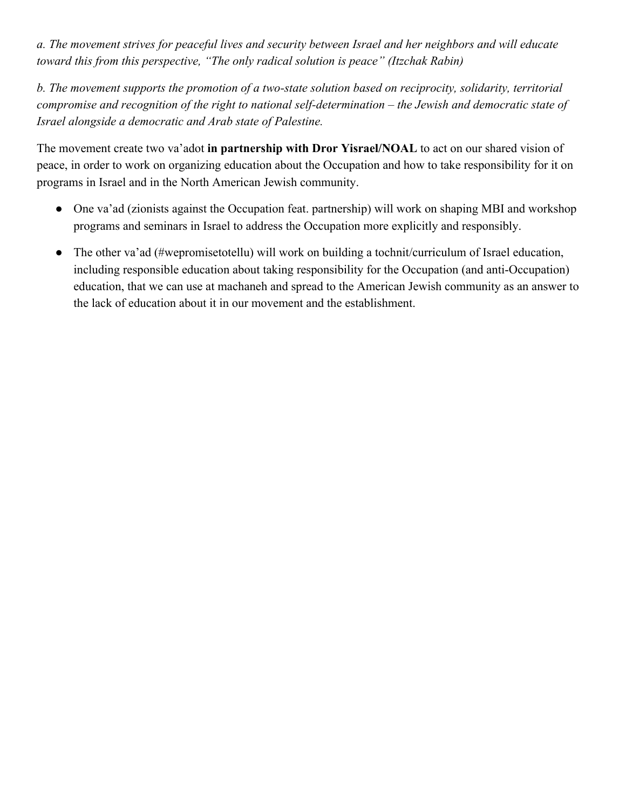*a. The movement strives for peaceful lives and security between Israel and her neighbors and will educate toward this from this perspective, "The only radical solution is peace" (Itzchak Rabin)*

*b. The movement supports the promotion of a two-state solution based on reciprocity, solidarity, territorial compromise and recognition of the right to national self-determination – the Jewish and democratic state of Israel alongside a democratic and Arab state of Palestine.*

The movement create two va'adot **in partnership with Dror Yisrael/NOAL** to act on our shared vision of peace, in order to work on organizing education about the Occupation and how to take responsibility for it on programs in Israel and in the North American Jewish community.

- One va'ad (zionists against the Occupation feat. partnership) will work on shaping MBI and workshop programs and seminars in Israel to address the Occupation more explicitly and responsibly.
- The other va'ad (#wepromisetotellu) will work on building a tochnit/curriculum of Israel education, including responsible education about taking responsibility for the Occupation (and anti-Occupation) education, that we can use at machaneh and spread to the American Jewish community as an answer to the lack of education about it in our movement and the establishment.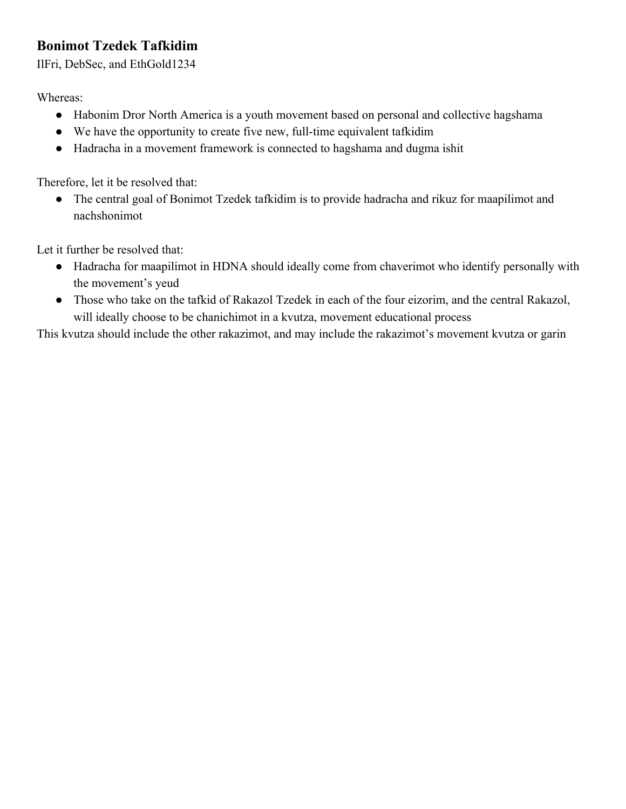## **Bonimot Tzedek Tafkidim**

IlFri, DebSec, and EthGold1234

Whereas:

- Habonim Dror North America is a youth movement based on personal and collective hagshama
- We have the opportunity to create five new, full-time equivalent tafkidim
- Hadracha in a movement framework is connected to hagshama and dugma ishit

Therefore, let it be resolved that:

• The central goal of Bonimot Tzedek tafkidim is to provide hadracha and rikuz for maapilimot and nachshonimot

Let it further be resolved that:

- Hadracha for maapilimot in HDNA should ideally come from chaverimot who identify personally with the movement's yeud
- Those who take on the tafkid of Rakazol Tzedek in each of the four eizorim, and the central Rakazol, will ideally choose to be chanichimot in a kvutza, movement educational process

This kvutza should include the other rakazimot, and may include the rakazimot's movement kvutza or garin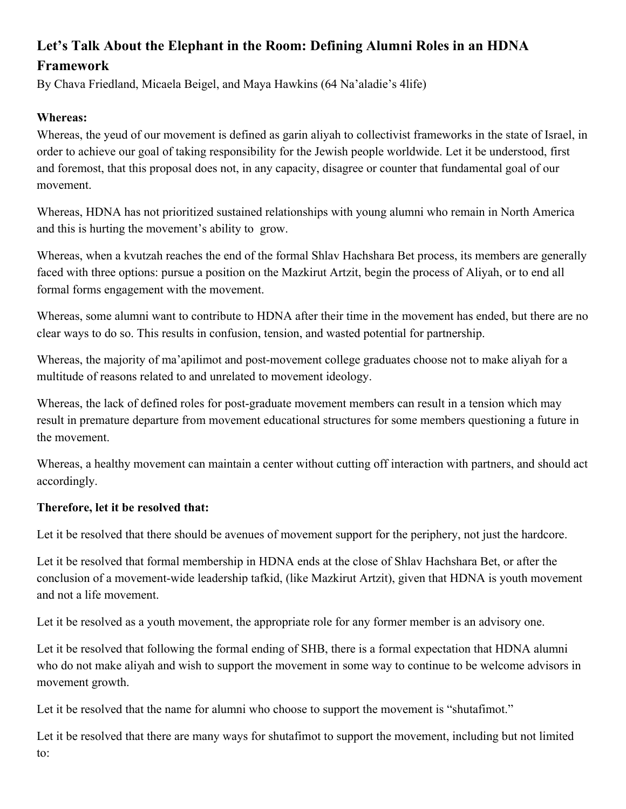## **Let's Talk About the Elephant in the Room: Defining Alumni Roles in an HDNA Framework**

By Chava Friedland, Micaela Beigel, and Maya Hawkins (64 Na'aladie's 4life)

#### **Whereas:**

Whereas, the yeud of our movement is defined as garin aliyah to collectivist frameworks in the state of Israel, in order to achieve our goal of taking responsibility for the Jewish people worldwide. Let it be understood, first and foremost, that this proposal does not, in any capacity, disagree or counter that fundamental goal of our movement.

Whereas, HDNA has not prioritized sustained relationships with young alumni who remain in North America and this is hurting the movement's ability to grow.

Whereas, when a kvutzah reaches the end of the formal Shlav Hachshara Bet process, its members are generally faced with three options: pursue a position on the Mazkirut Artzit, begin the process of Aliyah, or to end all formal forms engagement with the movement.

Whereas, some alumni want to contribute to HDNA after their time in the movement has ended, but there are no clear ways to do so. This results in confusion, tension, and wasted potential for partnership.

Whereas, the majority of ma'apilimot and post-movement college graduates choose not to make aliyah for a multitude of reasons related to and unrelated to movement ideology.

Whereas, the lack of defined roles for post-graduate movement members can result in a tension which may result in premature departure from movement educational structures for some members questioning a future in the movement.

Whereas, a healthy movement can maintain a center without cutting off interaction with partners, and should act accordingly.

#### **Therefore, let it be resolved that:**

Let it be resolved that there should be avenues of movement support for the periphery, not just the hardcore.

Let it be resolved that formal membership in HDNA ends at the close of Shlav Hachshara Bet, or after the conclusion of a movement-wide leadership tafkid, (like Mazkirut Artzit), given that HDNA is youth movement and not a life movement.

Let it be resolved as a youth movement, the appropriate role for any former member is an advisory one.

Let it be resolved that following the formal ending of SHB, there is a formal expectation that HDNA alumni who do not make aliyah and wish to support the movement in some way to continue to be welcome advisors in movement growth.

Let it be resolved that the name for alumni who choose to support the movement is "shutafimot."

Let it be resolved that there are many ways for shutafimot to support the movement, including but not limited to: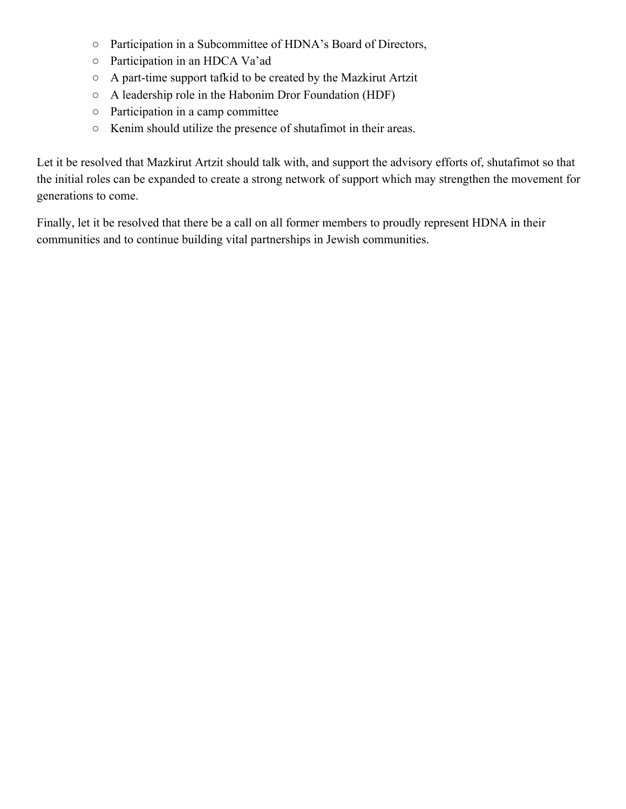- Participation in a Subcommittee of HDNA's Board of Directors,
- Participation in an HDCA Va'ad
- A part-time support tafkid to be created by the Mazkirut Artzit
- A leadership role in the Habonim Dror Foundation (HDF)
- Participation in a camp committee
- Kenim should utilize the presence of shutafimot in their areas.

Let it be resolved that Mazkirut Artzit should talk with, and support the advisory efforts of, shutafimot so that the initial roles can be expanded to create a strong network of support which may strengthen the movement for generations to come.

Finally, let it be resolved that there be a call on all former members to proudly represent HDNA in their communities and to continue building vital partnerships in Jewish communities.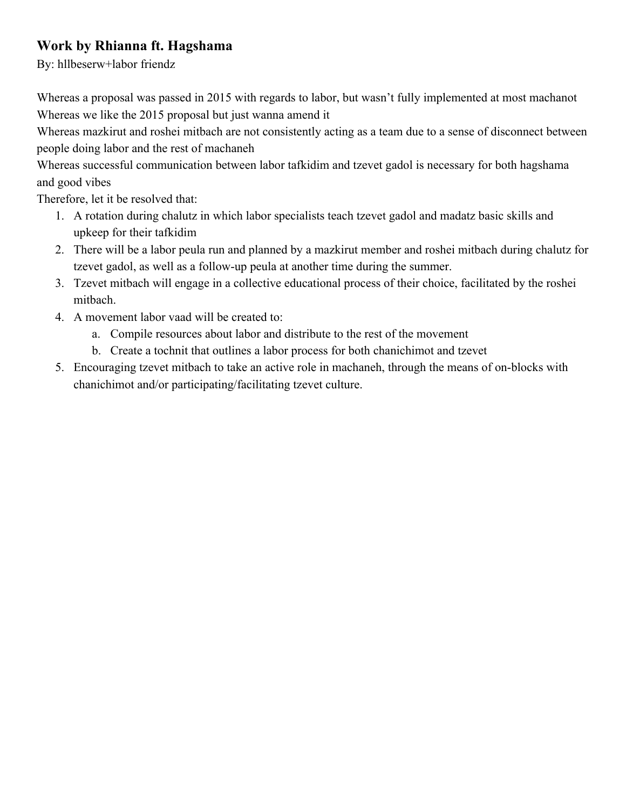### **Work by Rhianna ft. Hagshama**

By: hllbeserw+labor friendz

Whereas a proposal was passed in 2015 with regards to labor, but wasn't fully implemented at most machanot Whereas we like the 2015 proposal but just wanna amend it

Whereas mazkirut and roshei mitbach are not consistently acting as a team due to a sense of disconnect between people doing labor and the rest of machaneh

Whereas successful communication between labor tafkidim and tzevet gadol is necessary for both hagshama and good vibes

Therefore, let it be resolved that:

- 1. A rotation during chalutz in which labor specialists teach tzevet gadol and madatz basic skills and upkeep for their tafkidim
- 2. There will be a labor peula run and planned by a mazkirut member and roshei mitbach during chalutz for tzevet gadol, as well as a follow-up peula at another time during the summer.
- 3. Tzevet mitbach will engage in a collective educational process of their choice, facilitated by the roshei mitbach.
- 4. A movement labor vaad will be created to:
	- a. Compile resources about labor and distribute to the rest of the movement
	- b. Create a tochnit that outlines a labor process for both chanichimot and tzevet
- 5. Encouraging tzevet mitbach to take an active role in machaneh, through the means of on-blocks with chanichimot and/or participating/facilitating tzevet culture.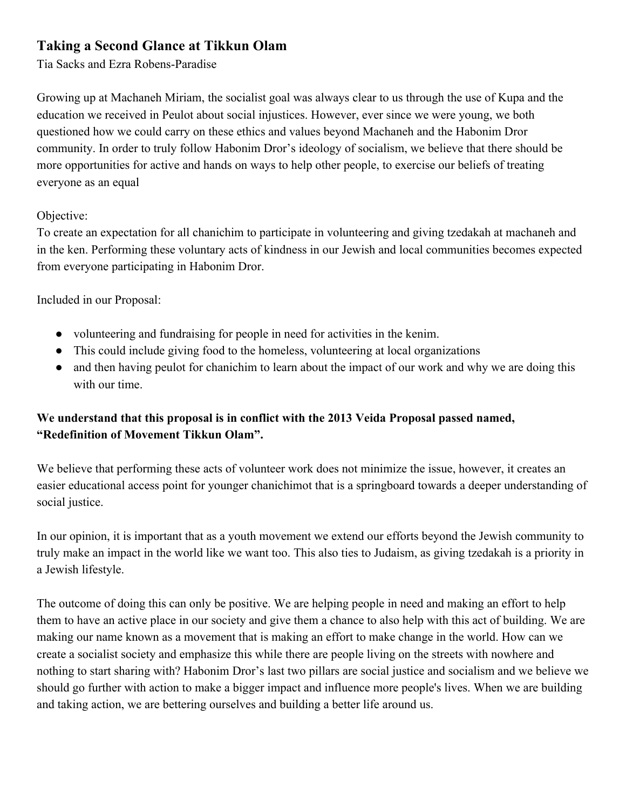#### **Taking a Second Glance at Tikkun Olam**

Tia Sacks and Ezra Robens-Paradise

Growing up at Machaneh Miriam, the socialist goal was always clear to us through the use of Kupa and the education we received in Peulot about social injustices. However, ever since we were young, we both questioned how we could carry on these ethics and values beyond Machaneh and the Habonim Dror community. In order to truly follow Habonim Dror's ideology of socialism, we believe that there should be more opportunities for active and hands on ways to help other people, to exercise our beliefs of treating everyone as an equal

#### Objective:

To create an expectation for all chanichim to participate in volunteering and giving tzedakah at machaneh and in the ken. Performing these voluntary acts of kindness in our Jewish and local communities becomes expected from everyone participating in Habonim Dror.

Included in our Proposal:

- volunteering and fundraising for people in need for activities in the kenim.
- This could include giving food to the homeless, volunteering at local organizations
- and then having peulot for chanichim to learn about the impact of our work and why we are doing this with our time.

#### **We understand that this proposal is in conflict with the 2013 Veida Proposal passed named, "Redefinition of Movement Tikkun Olam".**

We believe that performing these acts of volunteer work does not minimize the issue, however, it creates an easier educational access point for younger chanichimot that is a springboard towards a deeper understanding of social justice.

In our opinion, it is important that as a youth movement we extend our efforts beyond the Jewish community to truly make an impact in the world like we want too. This also ties to Judaism, as giving tzedakah is a priority in a Jewish lifestyle.

The outcome of doing this can only be positive. We are helping people in need and making an effort to help them to have an active place in our society and give them a chance to also help with this act of building. We are making our name known as a movement that is making an effort to make change in the world. How can we create a socialist society and emphasize this while there are people living on the streets with nowhere and nothing to start sharing with? Habonim Dror's last two pillars are social justice and socialism and we believe we should go further with action to make a bigger impact and influence more people's lives. When we are building and taking action, we are bettering ourselves and building a better life around us.